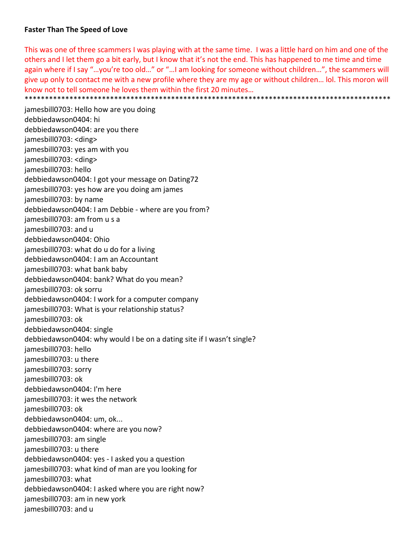## **Faster Than The Speed of Love**

This was one of three scammers I was playing with at the same time. I was a little hard on him and one of the others and I let them go a bit early, but I know that it's not the end. This has happened to me time and time again where if I say "…you're too old…" or "…I am looking for someone without children…", the scammers will give up only to contact me with a new profile where they are my age or without children… lol. This moron will know not to tell someone he loves them within the first 20 minutes… \*\*\*\*\*\*\*\*\*\*\*\*\*\*\*\*\*\*\*\*\*\*\*\*\*\*\*\*\*\*\*\*\*\*\*\*\*\*\*\*\*\*\*\*\*\*\*\*\*\*\*\*\*\*\*\*\*\*\*\*\*\*\*\*\*\*\*\*\*\*\*\*\*\*\*\*\*\*\*\*\*\*\*\*\*\*\*\*\*\*

jamesbill0703: Hello how are you doing debbiedawson0404: hi debbiedawson0404: are you there jamesbill0703: <ding> jamesbill0703: yes am with you jamesbill0703: <ding> jamesbill0703: hello debbiedawson0404: I got your message on Dating72 jamesbill0703: yes how are you doing am james jamesbill0703: by name debbiedawson0404: I am Debbie ‐ where are you from? jamesbill0703: am from u s a jamesbill0703: and u debbiedawson0404: Ohio jamesbill0703: what do u do for a living debbiedawson0404: I am an Accountant jamesbill0703: what bank baby debbiedawson0404: bank? What do you mean? jamesbill0703: ok sorru debbiedawson0404: I work for a computer company jamesbill0703: What is your relationship status? jamesbill0703: ok debbiedawson0404: single debbiedawson0404: why would I be on a dating site if I wasn't single? jamesbill0703: hello jamesbill0703: u there jamesbill0703: sorry jamesbill0703: ok debbiedawson0404: I'm here jamesbill0703: it wes the network jamesbill0703: ok debbiedawson0404: um, ok... debbiedawson0404: where are you now? jamesbill0703: am single jamesbill0703: u there debbiedawson0404: yes ‐ I asked you a question jamesbill0703: what kind of man are you looking for jamesbill0703: what debbiedawson0404: I asked where you are right now? jamesbill0703: am in new york jamesbill0703: and u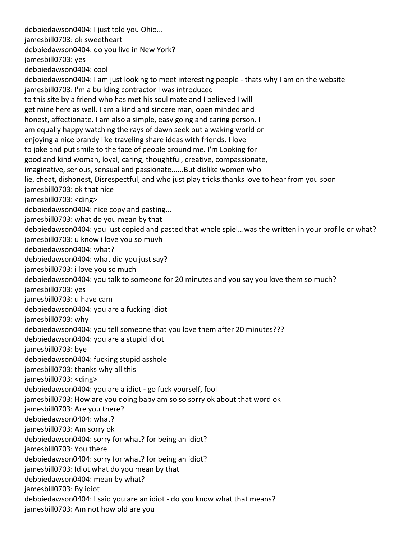debbiedawson0404: I just told you Ohio... jamesbill0703: ok sweetheart debbiedawson0404: do you live in New York? jamesbill0703: yes debbiedawson0404: cool debbiedawson0404: I am just looking to meet interesting people ‐ thats why I am on the website jamesbill0703: I'm a building contractor I was introduced to this site by a friend who has met his soul mate and I believed I will get mine here as well. I am a kind and sincere man, open minded and honest, affectionate. I am also a simple, easy going and caring person. I am equally happy watching the rays of dawn seek out a waking world or enjoying a nice brandy like traveling share ideas with friends. I love to joke and put smile to the face of people around me. I'm Looking for good and kind woman, loyal, caring, thoughtful, creative, compassionate, imaginative, serious, sensual and passionate......But dislike women who lie, cheat, dishonest, Disrespectful, and who just play tricks.thanks love to hear from you soon jamesbill0703: ok that nice jamesbill0703: <ding> debbiedawson0404: nice copy and pasting... jamesbill0703: what do you mean by that debbiedawson0404: you just copied and pasted that whole spiel...was the written in your profile or what? jamesbill0703: u know i love you so muvh debbiedawson0404: what? debbiedawson0404: what did you just say? jamesbill0703: i love you so much debbiedawson0404: you talk to someone for 20 minutes and you say you love them so much? jamesbill0703: yes jamesbill0703: u have cam debbiedawson0404: you are a fucking idiot jamesbill0703: why debbiedawson0404: you tell someone that you love them after 20 minutes??? debbiedawson0404: you are a stupid idiot jamesbill0703: bye debbiedawson0404: fucking stupid asshole jamesbill0703: thanks why all this jamesbill0703: <ding> debbiedawson0404: you are a idiot ‐ go fuck yourself, fool jamesbill0703: How are you doing baby am so so sorry ok about that word ok jamesbill0703: Are you there? debbiedawson0404: what? jamesbill0703: Am sorry ok debbiedawson0404: sorry for what? for being an idiot? jamesbill0703: You there debbiedawson0404: sorry for what? for being an idiot? jamesbill0703: Idiot what do you mean by that debbiedawson0404: mean by what? jamesbill0703: By idiot debbiedawson0404: I said you are an idiot ‐ do you know what that means? jamesbill0703: Am not how old are you